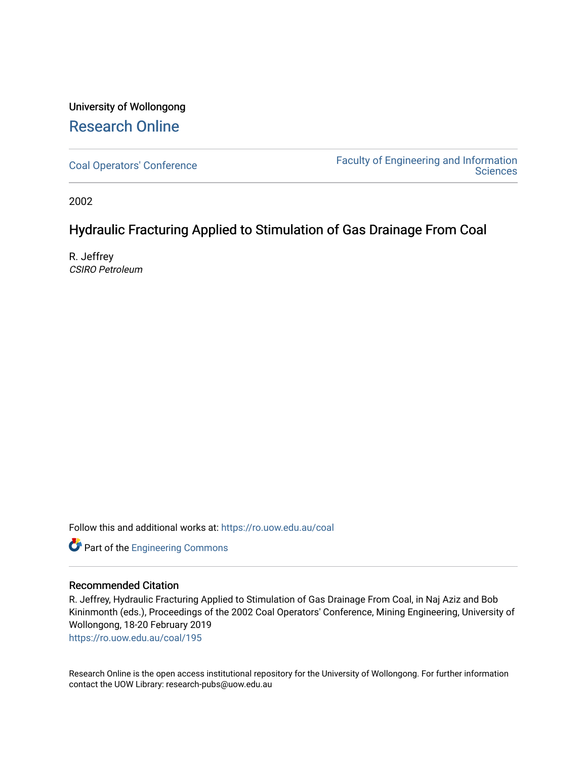# University of Wollongong [Research Online](https://ro.uow.edu.au/)

[Coal Operators' Conference](https://ro.uow.edu.au/coal) [Faculty of Engineering and Information](https://ro.uow.edu.au/eis)  **Sciences** 

2002

## Hydraulic Fracturing Applied to Stimulation of Gas Drainage From Coal

R. Jeffrey CSIRO Petroleum

Follow this and additional works at: [https://ro.uow.edu.au/coal](https://ro.uow.edu.au/coal?utm_source=ro.uow.edu.au%2Fcoal%2F195&utm_medium=PDF&utm_campaign=PDFCoverPages) 

Part of the [Engineering Commons](http://network.bepress.com/hgg/discipline/217?utm_source=ro.uow.edu.au%2Fcoal%2F195&utm_medium=PDF&utm_campaign=PDFCoverPages)

## Recommended Citation

R. Jeffrey, Hydraulic Fracturing Applied to Stimulation of Gas Drainage From Coal, in Naj Aziz and Bob Kininmonth (eds.), Proceedings of the 2002 Coal Operators' Conference, Mining Engineering, University of Wollongong, 18-20 February 2019

[https://ro.uow.edu.au/coal/195](https://ro.uow.edu.au/coal/195?utm_source=ro.uow.edu.au%2Fcoal%2F195&utm_medium=PDF&utm_campaign=PDFCoverPages) 

Research Online is the open access institutional repository for the University of Wollongong. For further information contact the UOW Library: research-pubs@uow.edu.au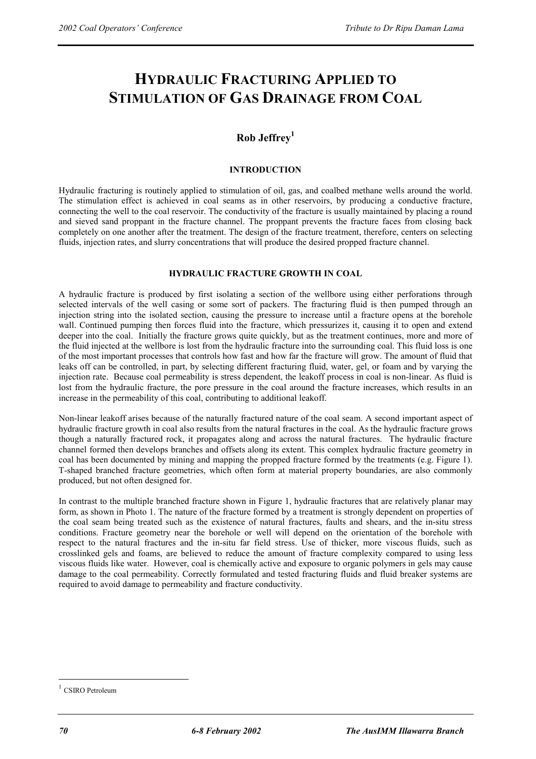# **HYDRAULIC FRACTURING APPLIED TO STIMULATION OF GAS DRAINAGE FROM COAL**

## **Rob Jeffrey1**

## **INTRODUCTION**

Hydraulic fracturing is routinely applied to stimulation of oil, gas, and coalbed methane wells around the world. The stimulation effect is achieved in coal seams as in other reservoirs, by producing a conductive fracture, connecting the well to the coal reservoir. The conductivity of the fracture is usually maintained by placing a round and sieved sand proppant in the fracture channel. The proppant prevents the fracture faces from closing back completely on one another after the treatment. The design of the fracture treatment, therefore, centers on selecting fluids, injection rates, and slurry concentrations that will produce the desired propped fracture channel.

## **HYDRAULIC FRACTURE GROWTH IN COAL**

A hydraulic fracture is produced by first isolating a section of the wellbore using either perforations through selected intervals of the well casing or some sort of packers. The fracturing fluid is then pumped through an injection string into the isolated section, causing the pressure to increase until a fracture opens at the borehole wall. Continued pumping then forces fluid into the fracture, which pressurizes it, causing it to open and extend deeper into the coal. Initially the fracture grows quite quickly, but as the treatment continues, more and more of the fluid injected at the wellbore is lost from the hydraulic fracture into the surrounding coal. This fluid loss is one of the most important processes that controls how fast and how far the fracture will grow. The amount of fluid that leaks off can be controlled, in part, by selecting different fracturing fluid, water, gel, or foam and by varying the injection rate. Because coal permeability is stress dependent, the leakoff process in coal is non-linear. As fluid is lost from the hydraulic fracture, the pore pressure in the coal around the fracture increases, which results in an increase in the permeability of this coal, contributing to additional leakoff.

Non-linear leakoff arises because of the naturally fractured nature of the coal seam. A second important aspect of hydraulic fracture growth in coal also results from the natural fractures in the coal. As the hydraulic fracture grows though a naturally fractured rock, it propagates along and across the natural fractures. The hydraulic fracture channel formed then develops branches and offsets along its extent. This complex hydraulic fracture geometry in coal has been documented by mining and mapping the propped fracture formed by the treatments (e.g. Figure 1). T-shaped branched fracture geometries, which often form at material property boundaries, are also commonly produced, but not often designed for.

In contrast to the multiple branched fracture shown in Figure 1, hydraulic fractures that are relatively planar may form, as shown in Photo 1. The nature of the fracture formed by a treatment is strongly dependent on properties of the coal seam being treated such as the existence of natural fractures, faults and shears, and the in-situ stress conditions. Fracture geometry near the borehole or well will depend on the orientation of the borehole with respect to the natural fractures and the in-situ far field stress. Use of thicker, more viscous fluids, such as crosslinked gels and foams, are believed to reduce the amount of fracture complexity compared to using less viscous fluids like water. However, coal is chemically active and exposure to organic polymers in gels may cause damage to the coal permeability. Correctly formulated and tested fracturing fluids and fluid breaker systems are required to avoid damage to permeability and fracture conductivity.

 $\overline{a}$ 

CSIRO Petroleum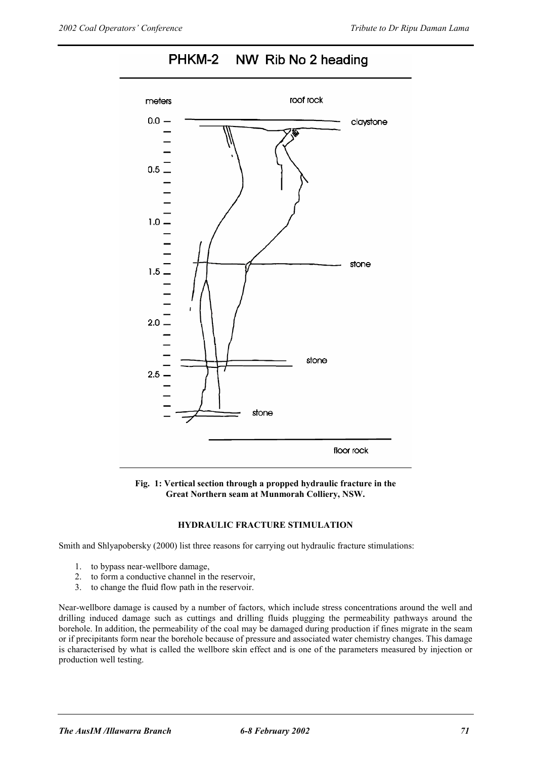

#### PHKM-2 NW Rib No 2 heading

**Fig. 1: Vertical section through a propped hydraulic fracture in the Great Northern seam at Munmorah Colliery, NSW.** 

## **HYDRAULIC FRACTURE STIMULATION**

Smith and Shlyapobersky (2000) list three reasons for carrying out hydraulic fracture stimulations:

- 1. to bypass near-wellbore damage,
- 2. to form a conductive channel in the reservoir,
- 3. to change the fluid flow path in the reservoir.

Near-wellbore damage is caused by a number of factors, which include stress concentrations around the well and drilling induced damage such as cuttings and drilling fluids plugging the permeability pathways around the borehole. In addition, the permeability of the coal may be damaged during production if fines migrate in the seam or if precipitants form near the borehole because of pressure and associated water chemistry changes. This damage is characterised by what is called the wellbore skin effect and is one of the parameters measured by injection or production well testing.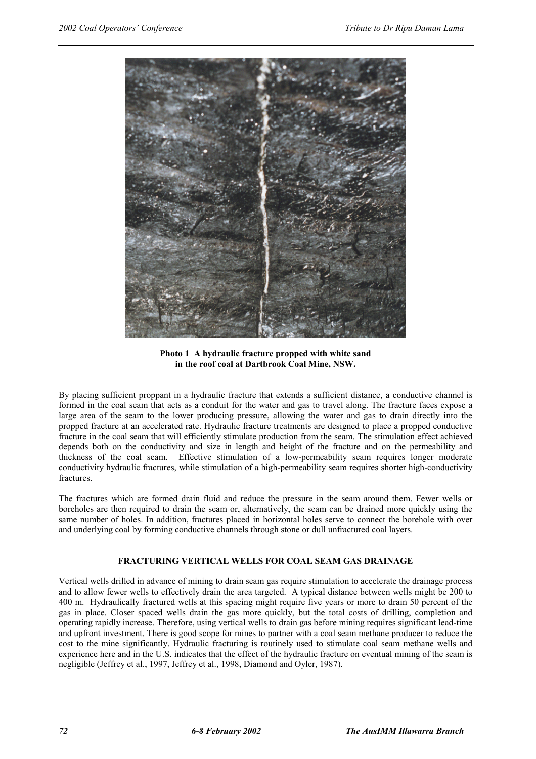

**Photo 1 A hydraulic fracture propped with white sand in the roof coal at Dartbrook Coal Mine, NSW.** 

By placing sufficient proppant in a hydraulic fracture that extends a sufficient distance, a conductive channel is formed in the coal seam that acts as a conduit for the water and gas to travel along. The fracture faces expose a large area of the seam to the lower producing pressure, allowing the water and gas to drain directly into the propped fracture at an accelerated rate. Hydraulic fracture treatments are designed to place a propped conductive fracture in the coal seam that will efficiently stimulate production from the seam. The stimulation effect achieved depends both on the conductivity and size in length and height of the fracture and on the permeability and thickness of the coal seam. Effective stimulation of a low-permeability seam requires longer moderate conductivity hydraulic fractures, while stimulation of a high-permeability seam requires shorter high-conductivity fractures.

The fractures which are formed drain fluid and reduce the pressure in the seam around them. Fewer wells or boreholes are then required to drain the seam or, alternatively, the seam can be drained more quickly using the same number of holes. In addition, fractures placed in horizontal holes serve to connect the borehole with over and underlying coal by forming conductive channels through stone or dull unfractured coal layers.

## **FRACTURING VERTICAL WELLS FOR COAL SEAM GAS DRAINAGE**

Vertical wells drilled in advance of mining to drain seam gas require stimulation to accelerate the drainage process and to allow fewer wells to effectively drain the area targeted. A typical distance between wells might be 200 to 400 m. Hydraulically fractured wells at this spacing might require five years or more to drain 50 percent of the gas in place. Closer spaced wells drain the gas more quickly, but the total costs of drilling, completion and operating rapidly increase. Therefore, using vertical wells to drain gas before mining requires significant lead-time and upfront investment. There is good scope for mines to partner with a coal seam methane producer to reduce the cost to the mine significantly. Hydraulic fracturing is routinely used to stimulate coal seam methane wells and experience here and in the U.S. indicates that the effect of the hydraulic fracture on eventual mining of the seam is negligible (Jeffrey et al., 1997, Jeffrey et al., 1998, Diamond and Oyler, 1987).